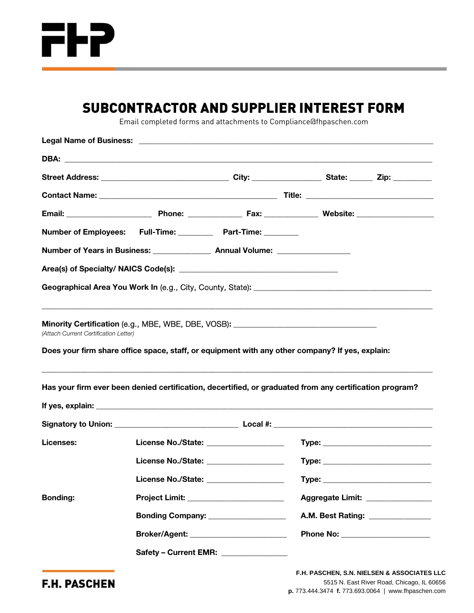

## SUBCONTRACTOR AND SUPPLIER INTEREST FORM

Email completed forms and attachments to Compliance@fhpaschen.com

|                                       | Number of Employees: Full-Time: Part-Time: ______                                                              |                                  |  |
|---------------------------------------|----------------------------------------------------------------------------------------------------------------|----------------------------------|--|
|                                       |                                                                                                                |                                  |  |
|                                       |                                                                                                                |                                  |  |
|                                       | Geographical Area You Work In (e.g., City, County, State): [10] [20] [20] [20] [20] [30] [30] [30] [30] [30] [ |                                  |  |
|                                       |                                                                                                                |                                  |  |
| (Attach Current Certification Letter) | Does your firm share office space, staff, or equipment with any other company? If yes, explain:                |                                  |  |
|                                       | Has your firm ever been denied certification, decertified, or graduated from any certification program?        |                                  |  |
|                                       |                                                                                                                |                                  |  |
|                                       |                                                                                                                |                                  |  |
| Licenses:                             | License No./State: _____________________                                                                       |                                  |  |
|                                       | License No./State: ____________________                                                                        |                                  |  |
|                                       | License No./State: __________________                                                                          |                                  |  |
| <b>Bonding:</b>                       | Project Limit: _________________________                                                                       | Aggregate Limit: _______________ |  |
|                                       | Bonding Company: ___________________                                                                           | A.M. Best Rating: ______________ |  |
|                                       | Broker/Agent: _________________________                                                                        | Phone No: ______________________ |  |
|                                       | Safety - Current EMR: ________________                                                                         |                                  |  |

**F.H. PASCHEN**